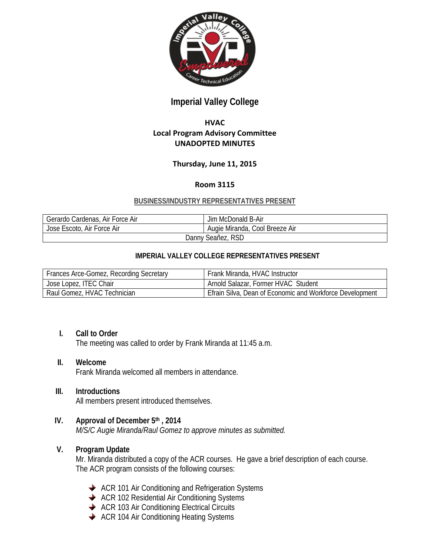

# **Imperial Valley College**

## **HVAC Local Program Advisory Committee UNADOPTED MINUTES**

## **Thursday, June 11, 2015**

#### **Room 3115**

#### **BUSINESS/INDUSTRY REPRESENTATIVES PRESENT**

| <sup>1</sup> Gerardo Cardenas, Air Force Air | Jim McDonald B-Air             |
|----------------------------------------------|--------------------------------|
| Jose Escoto, Air Force Air                   | Augie Miranda, Cool Breeze Air |
| Danny Seañez, RSD                            |                                |

#### **IMPERIAL VALLEY COLLEGE REPRESENTATIVES PRESENT**

| Frances Arce-Gomez, Recording Secretary | Frank Miranda, HVAC Instructor                           |
|-----------------------------------------|----------------------------------------------------------|
| Jose Lopez, ITEC Chair                  | Arnold Salazar, Former HVAC Student                      |
| Raul Gomez, HVAC Technician             | Efrain Silva, Dean of Economic and Workforce Development |

#### **I. Call to Order**

The meeting was called to order by Frank Miranda at 11:45 a.m.

#### **II. Welcome**

Frank Miranda welcomed all members in attendance.

## **III. Introductions**

All members present introduced themselves.

#### **IV. Approval of December 5th , 2014**

*M/S/C Augie Miranda/Raul Gomez to approve minutes as submitted.*

#### **V. Program Update**

Mr. Miranda distributed a copy of the ACR courses. He gave a brief description of each course. The ACR program consists of the following courses:

- ◆ ACR 101 Air Conditioning and Refrigeration Systems
- ◆ ACR 102 Residential Air Conditioning Systems
- ◆ ACR 103 Air Conditioning Electrical Circuits
- ◆ ACR 104 Air Conditioning Heating Systems